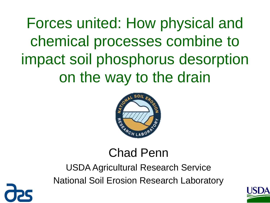Forces united: How physical and chemical processes combine to impact soil phosphorus desorption on the way to the drain



#### Chad Penn

USDA Agricultural Research Service National Soil Erosion Research Laboratory



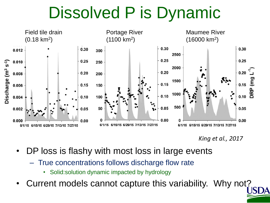#### Dissolved P is Dynamic



*King et al., 2017*

- DP loss is flashy with most loss in large events
	- True concentrations follows discharge flow rate
		- Solid:solution dynamic impacted by hydrology
- Current models cannot capture this variability. Why not?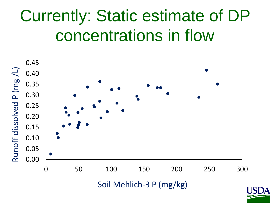## Currently: Static estimate of DP concentrations in flow

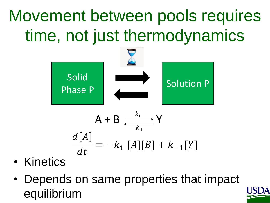# Movement between pools requires time, not just thermodynamics



- Kinetics
- Depends on same properties that impact equilibrium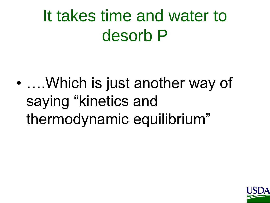### It takes time and water to desorb P

• ….Which is just another way of saying "kinetics and thermodynamic equilibrium"

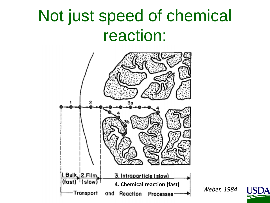#### Not just speed of chemical reaction:



*Weber, 1984*

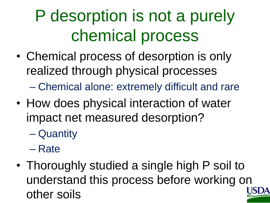# P desorption is not a purely chemical process

- Chemical process of desorption is only realized through physical processes – Chemical alone: extremely difficult and rare
- How does physical interaction of water impact net measured desorption?
	- Quantity
	- Rate
- Thoroughly studied a single high P soil to understand this process before working on other soils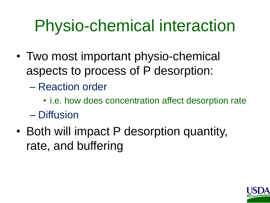## Physio-chemical interaction

- Two most important physio-chemical aspects to process of P desorption:
	- Reaction order
	- i.e. how does concentration affect desorption rate – Diffusion
- Both will impact P desorption quantity, rate, and buffering

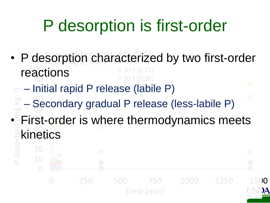## P desorption is first-order

- 90 reactions 1:1 (0.003) 3.190.04) 10:1 (0.12) 50:1 (0.36) Solution and chair • P desorption characterized by two first-order
- Initial rapid P release (labile P)  $\overline{\phantom{0}}$

0

10

20

- 60 70 – Secondary gradual P release (less-labile P)
- <u>प</u>ट 40 • First-order is where thermodynamics meets P desorbed (mg kg **kinetics**

0 250 500 750 1000 1250 1500 Time (min)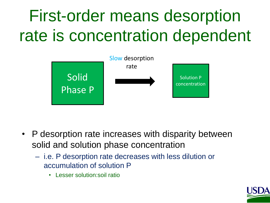# First-order means desorption rate is concentration dependent



- P desorption rate increases with disparity between solid and solution phase concentration
	- i.e. P desorption rate decreases with less dilution or accumulation of solution P
		- Lesser solution:soil ratio

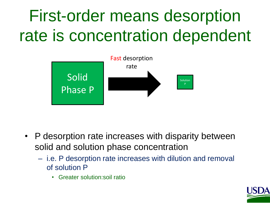# First-order means desorption rate is concentration dependent



- P desorption rate increases with disparity between solid and solution phase concentration
	- i.e. P desorption rate increases with dilution and removal of solution P
		- Greater solution:soil ratio

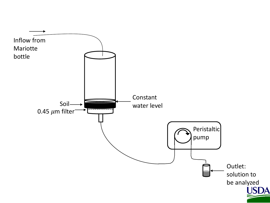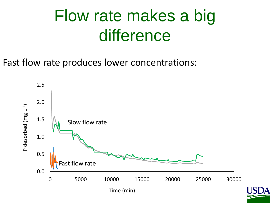#### Flow rate makes a big difference

Fast flow rate produces lower concentrations:

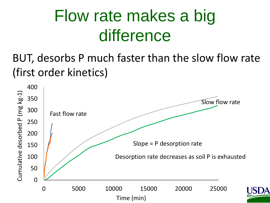## Flow rate makes a big difference

BUT, desorbs P much faster than the slow flow rate (first order kinetics)

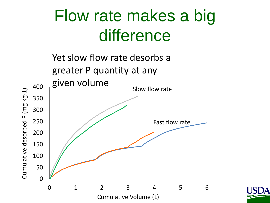#### Flow rate makes a big difference

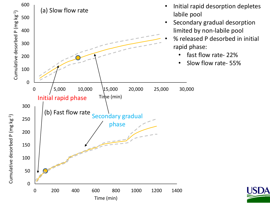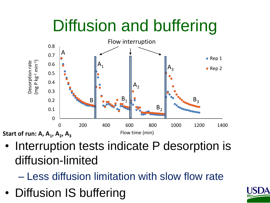## Diffusion and buffering



• Interruption tests indicate P desorption is diffusion-limited

– Less diffusion limitation with slow flow rate

• Diffusion IS buffering

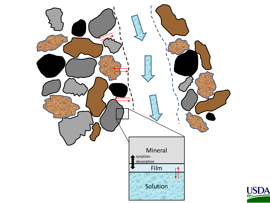

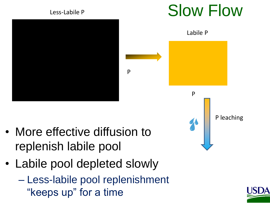

- More effective diffusion to replenish labile pool
- Labile pool depleted slowly
	- Less-labile pool replenishment "keeps up" for a time



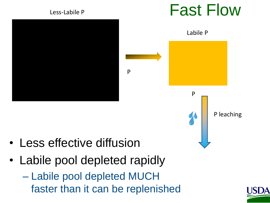

- Less effective diffusion
- Labile pool depleted rapidly
	- Labile pool depleted MUCH faster than it can be replenished



P leaching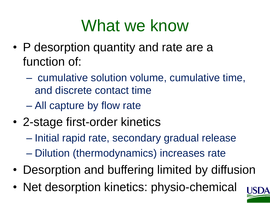### What we know

- P desorption quantity and rate are a function of:
	- cumulative solution volume, cumulative time, and discrete contact time
	- All capture by flow rate
- 2-stage first-order kinetics
	- Initial rapid rate, secondary gradual release
	- Dilution (thermodynamics) increases rate
- Desorption and buffering limited by diffusion
- Net desorption kinetics: physio-chemical

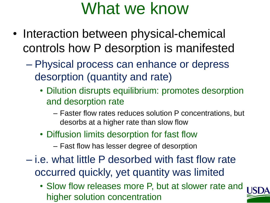#### What we know

- Interaction between physical-chemical controls how P desorption is manifested
	- Physical process can enhance or depress desorption (quantity and rate)
		- Dilution disrupts equilibrium: promotes desorption and desorption rate
			- Faster flow rates reduces solution P concentrations, but desorbs at a higher rate than slow flow
		- Diffusion limits desorption for fast flow
			- Fast flow has lesser degree of desorption
	- i.e. what little P desorbed with fast flow rate occurred quickly, yet quantity was limited
		- Slow flow releases more P, but at slower rate and higher solution concentration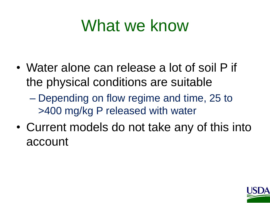#### What we know

- Water alone can release a lot of soil P if the physical conditions are suitable
	- Depending on flow regime and time, 25 to >400 mg/kg P released with water
- Current models do not take any of this into account

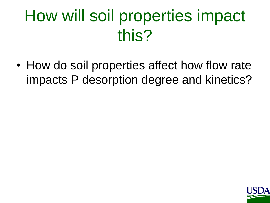# How will soil properties impact this?

• How do soil properties affect how flow rate impacts P desorption degree and kinetics?

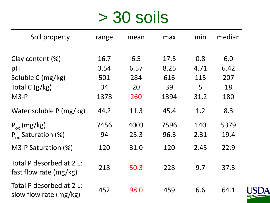#### > 30 soils

| Soil property                                      | range | mean | max  | min  | median |
|----------------------------------------------------|-------|------|------|------|--------|
|                                                    |       |      |      |      |        |
| Clay content (%)                                   | 16.7  | 6.5  | 17.5 | 0.8  | 6.0    |
| pH                                                 | 3.54  | 6.57 | 8.25 | 4.71 | 6.42   |
| Soluble C (mg/kg)                                  | 501   | 284  | 616  | 115  | 207    |
| Total C $(g/kg)$                                   | 34    | 20   | 39   | 5    | 18     |
| $M3-P$                                             | 1378  | 260  | 1394 | 31.2 | 180    |
| Water soluble P (mg/kg)                            | 44.2  | 11.3 | 45.4 | 1.2  | 8.3    |
| $P_{ox}$ (mg/kg)                                   | 7456  | 4003 | 7596 | 140  | 5379   |
| $P_{ox}$ Saturation (%)                            | 94    | 25.3 | 96.3 | 2.31 | 19.4   |
| M3-P Saturation (%)                                | 120   | 31.0 | 120  | 2.45 | 22.9   |
| Total P desorbed at 2 L:<br>fast flow rate (mg/kg) | 218   | 50.3 | 228  | 9.7  | 37.3   |
| Total P desorbed at 2 L:<br>slow flow rate (mg/kg) | 452   | 98.0 | 459  | 6.6  | 64.1   |

**USDA**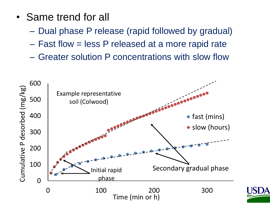- Same trend for all
	- Dual phase P release (rapid followed by gradual)
	- Fast flow = less P released at a more rapid rate
	- Greater solution P concentrations with slow flow

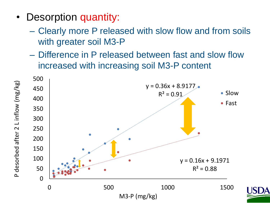- Desorption quantity:
	- Clearly more P released with slow flow and from soils with greater soil M3-P
	- Difference in P released between fast and slow flow increased with increasing soil M3-P content

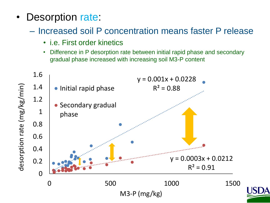- Desorption rate:
	- Increased soil P concentration means faster P release
		- i.e. First order kinetics
		- Difference in P desorption rate between initial rapid phase and secondary gradual phase increased with increasing soil M3-P content

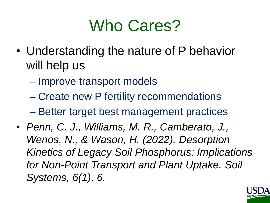#### Who Cares?

- Understanding the nature of P behavior will help us
	- Improve transport models
	- Create new P fertility recommendations
	- Better target best management practices
- *Penn, C. J., Williams, M. R., Camberato, J., Wenos, N., & Wason, H. (2022). Desorption Kinetics of Legacy Soil Phosphorus: Implications for Non-Point Transport and Plant Uptake. Soil Systems, 6(1), 6.*